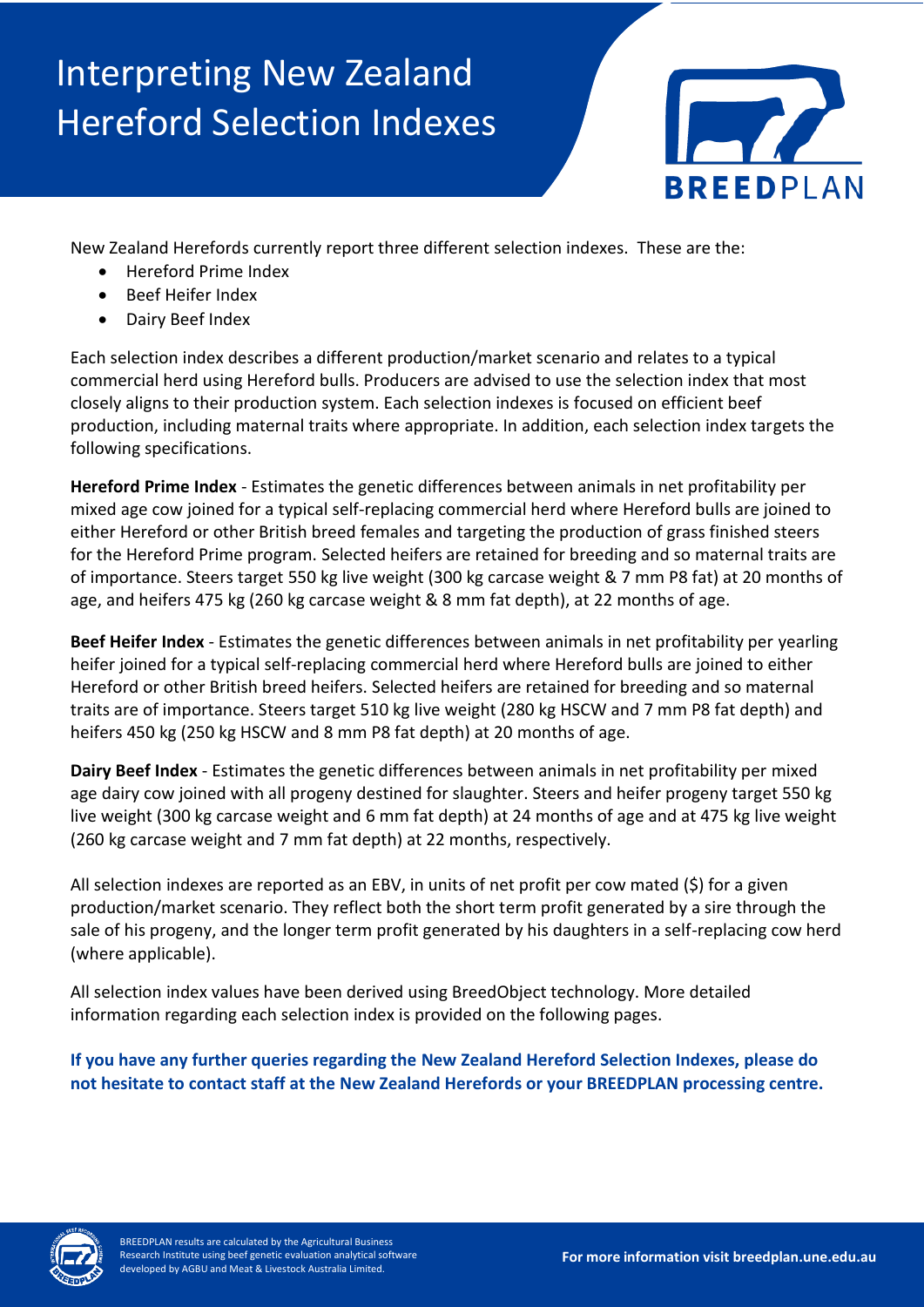## Interpreting New Zealand Hereford Selection Indexes



New Zealand Herefords currently report three different selection indexes. These are the:

- Hereford Prime Index
- Beef Heifer Index
- Dairy Beef Index

Each selection index describes a different production/market scenario and relates to a typical commercial herd using Hereford bulls. Producers are advised to use the selection index that most closely aligns to their production system. Each selection indexes is focused on efficient beef production, including maternal traits where appropriate. In addition, each selection index targets the following specifications.

**Hereford Prime Index** - Estimates the genetic differences between animals in net profitability per mixed age cow joined for a typical self-replacing commercial herd where Hereford bulls are joined to either Hereford or other British breed females and targeting the production of grass finished steers for the Hereford Prime program. Selected heifers are retained for breeding and so maternal traits are of importance. Steers target 550 kg live weight (300 kg carcase weight & 7 mm P8 fat) at 20 months of age, and heifers 475 kg (260 kg carcase weight & 8 mm fat depth), at 22 months of age.

**Beef Heifer Index** - Estimates the genetic differences between animals in net profitability per yearling heifer joined for a typical self-replacing commercial herd where Hereford bulls are joined to either Hereford or other British breed heifers. Selected heifers are retained for breeding and so maternal traits are of importance. Steers target 510 kg live weight (280 kg HSCW and 7 mm P8 fat depth) and heifers 450 kg (250 kg HSCW and 8 mm P8 fat depth) at 20 months of age.

**Dairy Beef Index** - Estimates the genetic differences between animals in net profitability per mixed age dairy cow joined with all progeny destined for slaughter. Steers and heifer progeny target 550 kg live weight (300 kg carcase weight and 6 mm fat depth) at 24 months of age and at 475 kg live weight (260 kg carcase weight and 7 mm fat depth) at 22 months, respectively.

All selection indexes are reported as an EBV, in units of net profit per cow mated (\$) for a given production/market scenario. They reflect both the short term profit generated by a sire through the sale of his progeny, and the longer term profit generated by his daughters in a self-replacing cow herd (where applicable).

All selection index values have been derived using BreedObject technology. More detailed information regarding each selection index is provided on the following pages.

**If you have any further queries regarding the New Zealand Hereford Selection Indexes, please do not hesitate to contact staff at the New Zealand Herefords or your BREEDPLAN processing centre.**

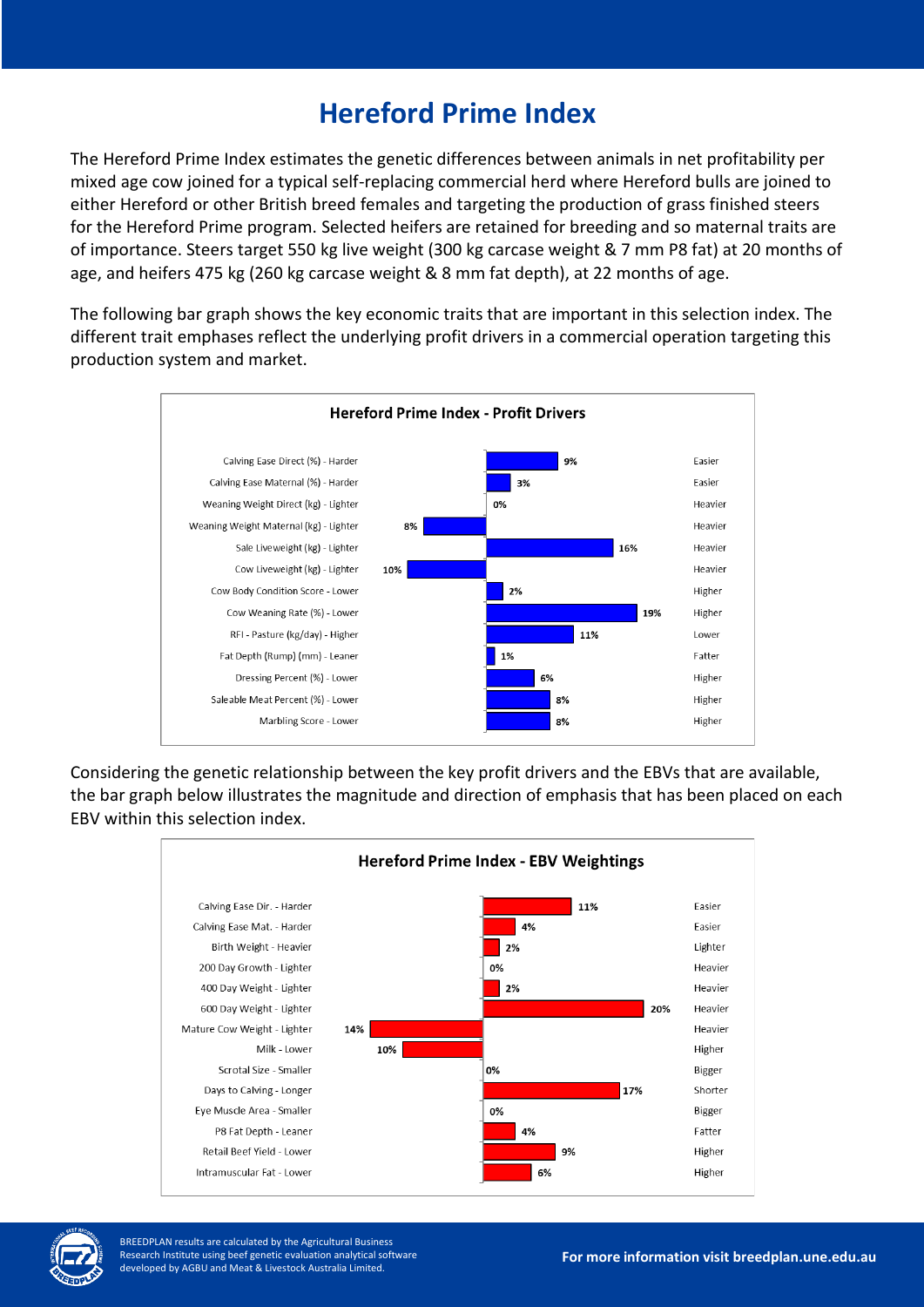## **Hereford Prime Index**

The Hereford Prime Index estimates the genetic differences between animals in net profitability per mixed age cow joined for a typical self-replacing commercial herd where Hereford bulls are joined to either Hereford or other British breed females and targeting the production of grass finished steers for the Hereford Prime program. Selected heifers are retained for breeding and so maternal traits are of importance. Steers target 550 kg live weight (300 kg carcase weight & 7 mm P8 fat) at 20 months of age, and heifers 475 kg (260 kg carcase weight & 8 mm fat depth), at 22 months of age.

The following bar graph shows the key economic traits that are important in this selection index. The different trait emphases reflect the underlying profit drivers in a commercial operation targeting this production system and market.



Considering the genetic relationship between the key profit drivers and the EBVs that are available, the bar graph below illustrates the magnitude and direction of emphasis that has been placed on each EBV within this selection index.





BREEDPLAN results are calculated by the Agricultural Business Research Institute using beef genetic evaluation analytical software developed by AGBU and Meat & Livestock Australia Limited.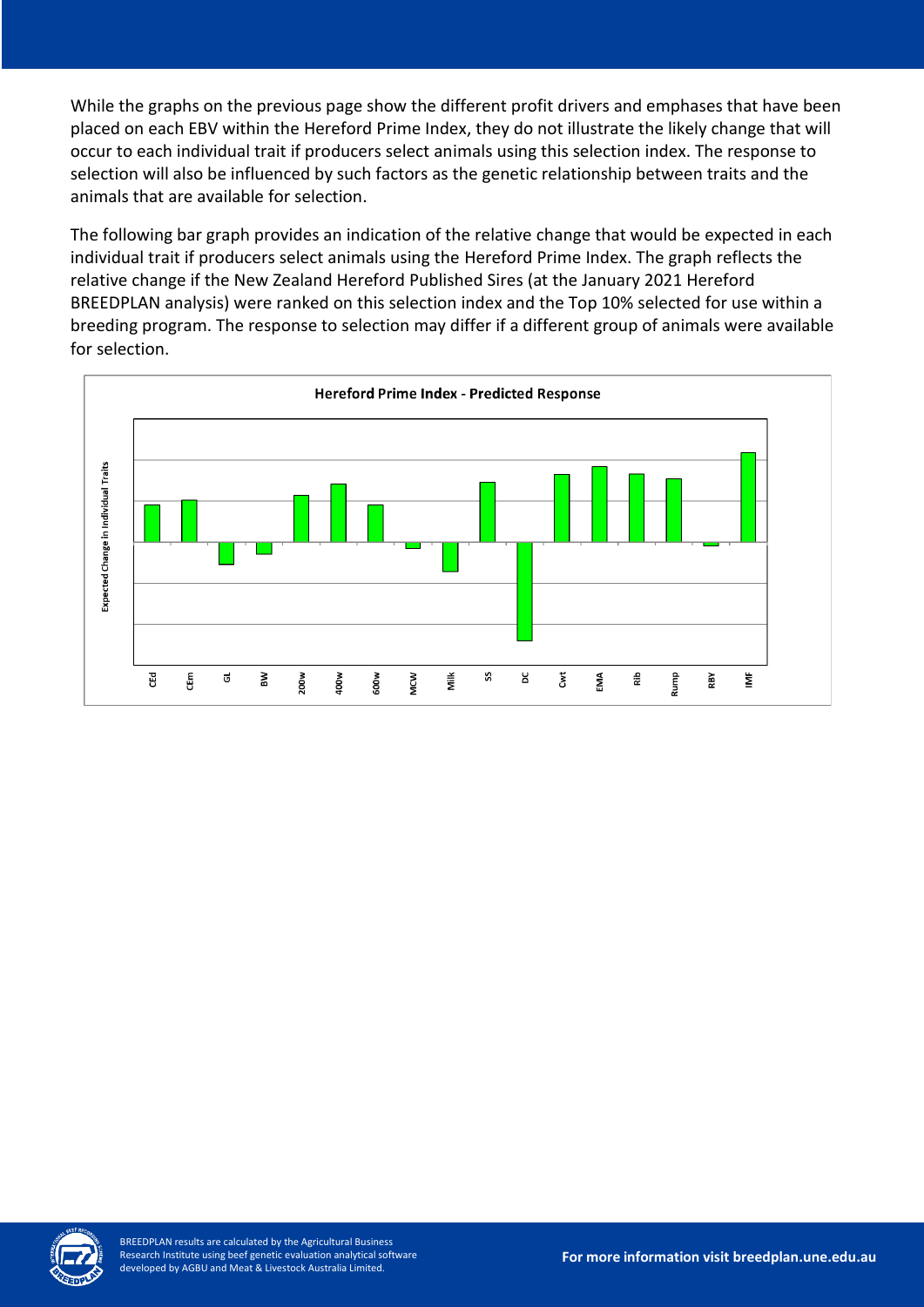While the graphs on the previous page show the different profit drivers and emphases that have been placed on each EBV within the Hereford Prime Index, they do not illustrate the likely change that will occur to each individual trait if producers select animals using this selection index. The response to selection will also be influenced by such factors as the genetic relationship between traits and the animals that are available for selection.

The following bar graph provides an indication of the relative change that would be expected in each individual trait if producers select animals using the Hereford Prime Index. The graph reflects the relative change if the New Zealand Hereford Published Sires (at the January 2021 Hereford BREEDPLAN analysis) were ranked on this selection index and the Top 10% selected for use within a breeding program. The response to selection may differ if a different group of animals were available for selection.



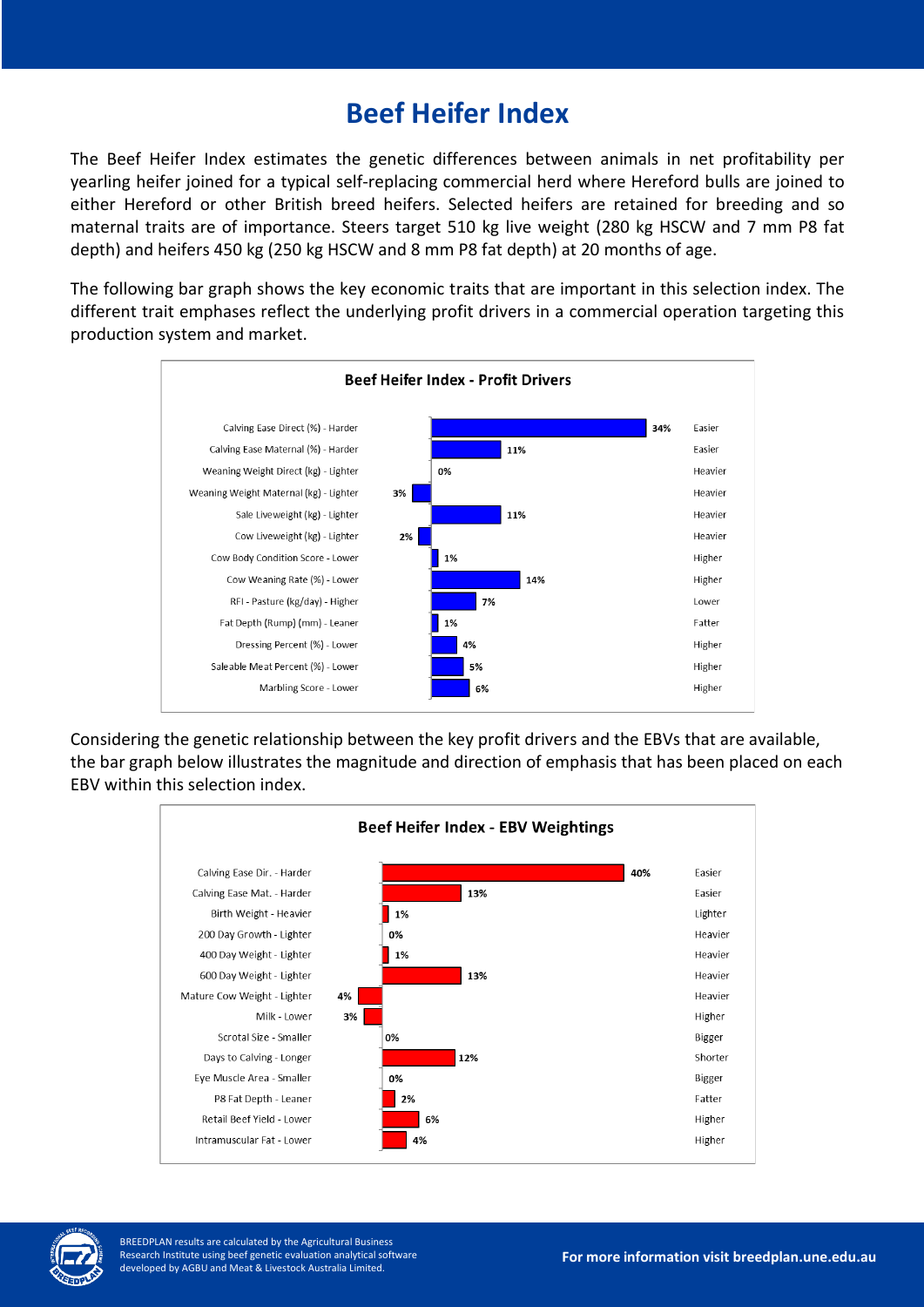## **Beef Heifer Index**

The Beef Heifer Index estimates the genetic differences between animals in net profitability per yearling heifer joined for a typical self-replacing commercial herd where Hereford bulls are joined to either Hereford or other British breed heifers. Selected heifers are retained for breeding and so maternal traits are of importance. Steers target 510 kg live weight (280 kg HSCW and 7 mm P8 fat depth) and heifers 450 kg (250 kg HSCW and 8 mm P8 fat depth) at 20 months of age.

The following bar graph shows the key economic traits that are important in this selection index. The different trait emphases reflect the underlying profit drivers in a commercial operation targeting this production system and market.



Considering the genetic relationship between the key profit drivers and the EBVs that are available, the bar graph below illustrates the magnitude and direction of emphasis that has been placed on each EBV within this selection index.





BREEDPLAN results are calculated by the Agricultural Business Research Institute using beef genetic evaluation analytical software developed by AGBU and Meat & Livestock Australia Limited.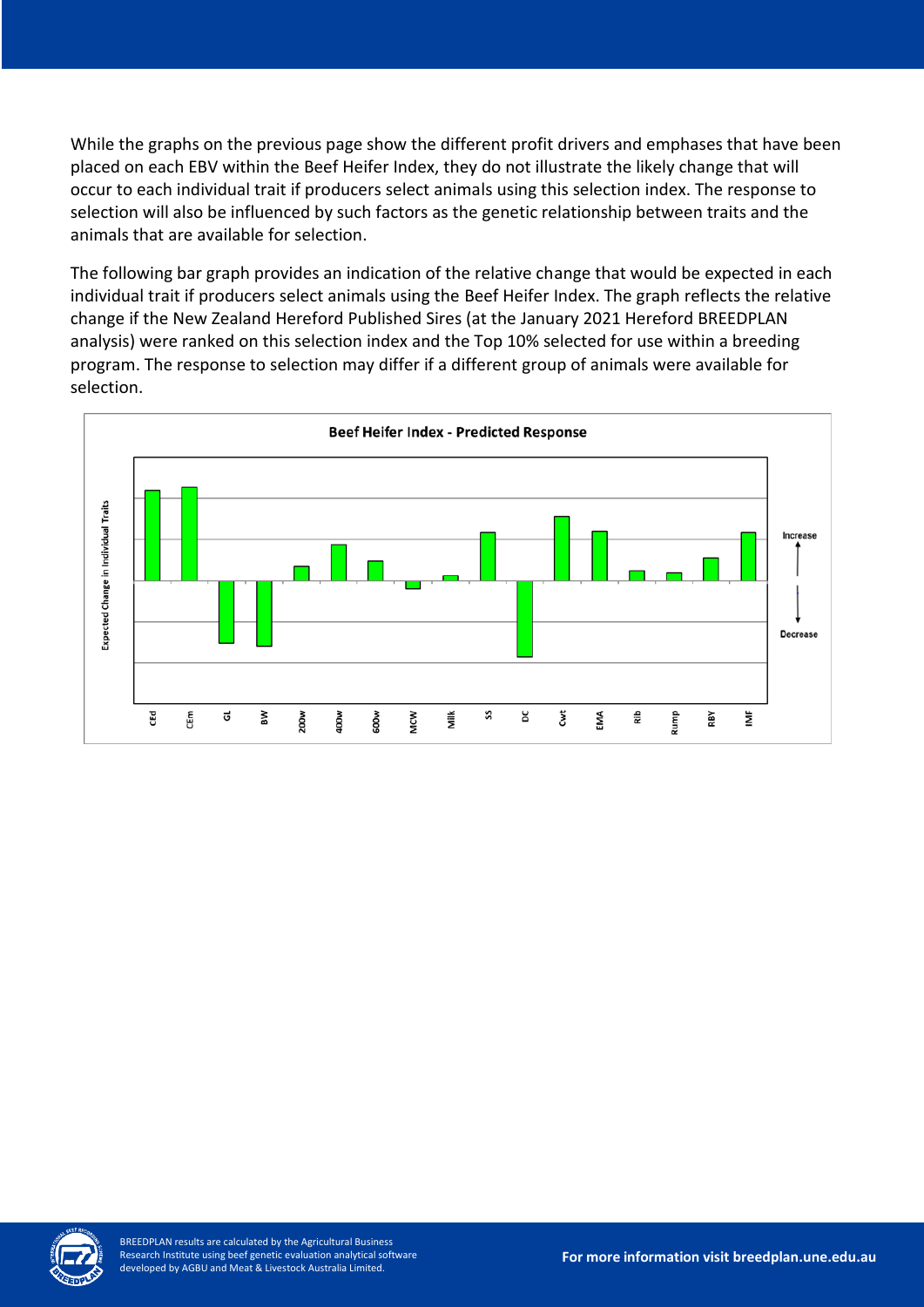While the graphs on the previous page show the different profit drivers and emphases that have been placed on each EBV within the Beef Heifer Index, they do not illustrate the likely change that will occur to each individual trait if producers select animals using this selection index. The response to selection will also be influenced by such factors as the genetic relationship between traits and the animals that are available for selection.

The following bar graph provides an indication of the relative change that would be expected in each individual trait if producers select animals using the Beef Heifer Index. The graph reflects the relative change if the New Zealand Hereford Published Sires (at the January 2021 Hereford BREEDPLAN analysis) were ranked on this selection index and the Top 10% selected for use within a breeding program. The response to selection may differ if a different group of animals were available for selection.



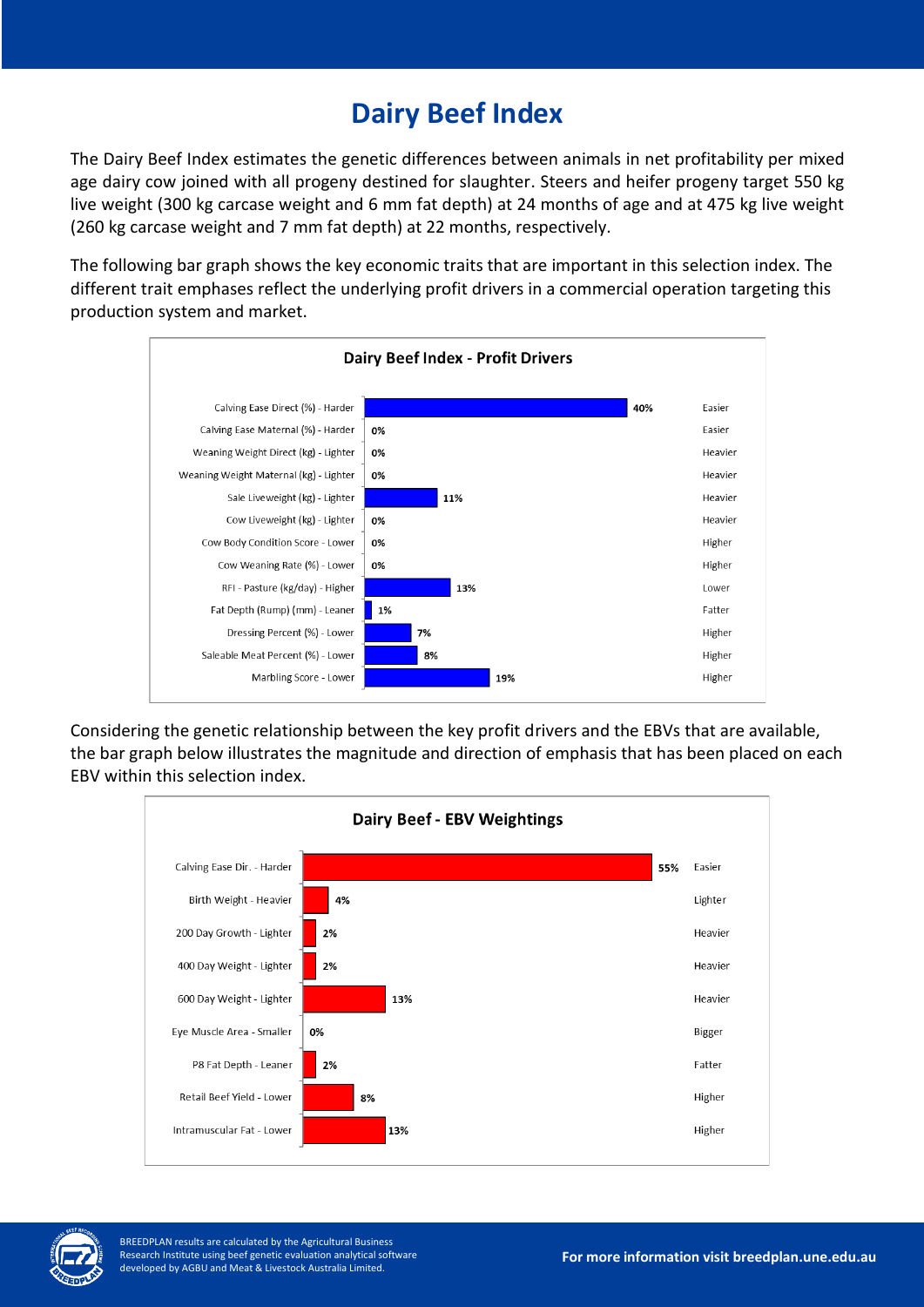## **Dairy Beef Index**

The Dairy Beef Index estimates the genetic differences between animals in net profitability per mixed age dairy cow joined with all progeny destined for slaughter. Steers and heifer progeny target 550 kg live weight (300 kg carcase weight and 6 mm fat depth) at 24 months of age and at 475 kg live weight (260 kg carcase weight and 7 mm fat depth) at 22 months, respectively.

The following bar graph shows the key economic traits that are important in this selection index. The different trait emphases reflect the underlying profit drivers in a commercial operation targeting this production system and market.



Considering the genetic relationship between the key profit drivers and the EBVs that are available, the bar graph below illustrates the magnitude and direction of emphasis that has been placed on each EBV within this selection index.